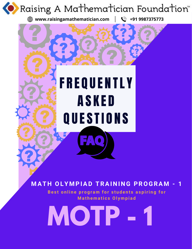

**<b><sup>①</sup>** www.raisingamathematician.com | ↓ +91 9987375773

# **FREQUENTLY** A S K E D QUESTIONS

# **M AT H OLY M PIAD TRAI N I N G PROGRA M - 1**

Best online program for students aspiring for **M a t h e m a ti c s Ol y m p i a d**

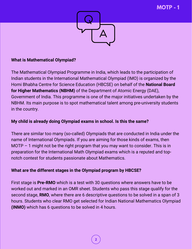

#### **What is Mathematical Olympiad?**

The Mathematical Olympiad Programme in India, which leads to the participation of Indian students in the International Mathematical Olympiad (IMO) is organized by the Homi Bhabha Centre for Science Education (HBCSE) on behalf of the **National Board for Higher Mathematics (NBHM)** of the Department of Atomic Energy (DAE), Government of India. This programme is one of the major initiatives undertaken by the NBHM. Its main purpose is to spot mathematical talent among pre-university students in the country.

#### **My child is already doing Olympiad exams in school. Is this the same?**

There are similar too many (so-called) Olympiads that are conducted in India under the name of International Olympiads. If you are aiming for those kinds of exams, then MOTP  $-$  1 might not be the right program that you may want to consider. This is in preparation for the International Math Olympiad exams which is a reputed and topnotch contest for students passionate about Mathematics.

#### **What are the different stages in the Olympiad program by HBCSE?**

First stage is **Pre-RMO** which is a test with 30 questions where answers have to be worked out and marked in an OMR sheet. Students who pass this stage qualify for the second stage, **RMO**, where there are 6 descriptive questions to be solved in a span of 3 hours. Students who clear RMO get selected for Indian National Mathematics Olympiad **(INMO)** which has 6 questions to be solved in 4 hours.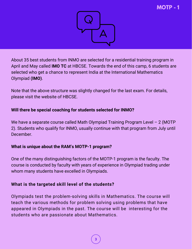

About 35 best students from INMO are selected for a residential training program in April and May called **IMO TC** at HBCSE. Towards the end of this camp, 6 students are selected who get a chance to represent India at the International Mathematics Olympiad **(IMO)**.

Note that the above structure was slightly changed for the last exam. For details, please visit the website of HBCSE.

#### **Will there be special coaching for students selected for INMO?**

We have a separate course called Math Olympiad Training Program Level - 2 (MOTP) 2). Students who qualify for INMO, usually continue with that program from July until December.

#### **What is unique about the RAM's MOTP-1 program?**

One of the many distinguishing factors of the MOTP-1 program is the faculty. The course is conducted by faculty with years of experience in Olympiad trading under whom many students have excelled in Olympiads.

# **What is the targeted skill level of the students?**

Olympiads test the problem-solving skills in Mathematics. The course will teach the various methods for problem solving using problems that have appeared in Olympiads in the past. The course will be interesting for the students who are passionate about Mathematics.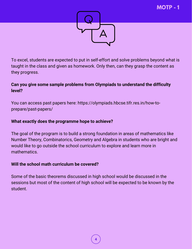

To excel, students are expected to put in self-effort and solve problems beyond what is taught in the class and given as homework. Only then, can they grasp the content as they progress.

# **Can you give some sample problems from Olympiads to understand the difficulty level?**

You can access past papers here: https://olympiads.hbcse.tifr.res.in/how-toprepare/past-papers/

#### **What exactly does the programme hope to achieve?**

The goal of the program is to build a strong foundation in areas of mathematics like Number Theory, Combinatorics, Geometry and Algebra in students who are bright and would like to go outside the school curriculum to explore and learn more in mathematics.

#### **Will the school math curriculum be covered?**

Some of the basic theorems discussed in high school would be discussed in the sessions but most of the content of high school will be expected to be known by the student.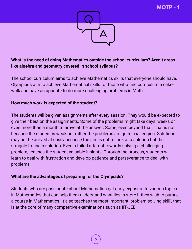

# **What is the need of doing Mathematics outside the school curriculum? Aren't areas like algebra and geometry covered in school syllabus?**

The school curriculum aims to achieve Mathematics skills that everyone should have. Olympiads aim to achieve Mathematical skills for those who find curriculum a cakewalk and have an appetite to do more challenging problems in Math.

# **How much work is expected of the student?**

The students will be given assignments after every session. They would be expected to give their best on the assignments. Some of the problems might take days, weeks or even more than a month to arrive at the answer. Some, even beyond that. That is not because the student is weak but rather the problems are quite challenging. Solutions may not be arrived at easily because the aim is not to look at a solution but the struggle to find a solution. Even a failed attempt towards solving a challenging problem, teaches the student valuable insights. Through the process, students will learn to deal with frustration and develop patience and perseverance to deal with problems.

# **What are the advantages of preparing for the Olympiads?**

Students who are passionate about Mathematics get early exposure to various topics in Mathematics that can help them understand what lies in store if they wish to pursue a course in Mathematics. It also teaches the most important 'problem solving skill', that is at the core of many competitive examinations such as IIT-JEE.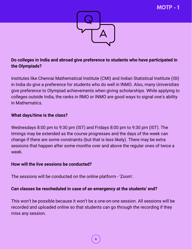

# **Do colleges in India and abroad give preference to students who have participated in the Olympiads?**

Institutes like Chennai Mathematical Institute (CMI) and Indian Statistical Institute (ISI) in India do give a preference for students who do well in INMO. Also, many Universities give preference to Olympiad achievements when giving scholarships. While applying to colleges outside India, the ranks in RMO or INMO are good ways to signal one's ability in Mathematics.

# **What days/time is the class?**

Wednesdays 8:00 pm to 9:30 pm (IST) and Fridays 8:00 pm to 9:30 pm (IST). The timings may be extended as the course progresses and the days of the week can change if there are some constraints (but that is less likely). There may be extra sessions that happen after some months over and above the regular ones of twice a week.

#### **How will the live sessions be conducted?**

The sessions will be conducted on the online platform - 'Zoom'.

#### **Can classes be rescheduled in case of an emergency at the students' end?**

This won't be possible because it won't be a one-on-one session. All sessions will be recorded and uploaded online so that students can go through the recording if they miss any session.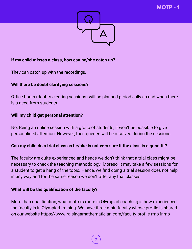

# **If my child misses a class, how can he/she catch up?**

They can catch up with the recordings.

#### **Will there be doubt clarifying sessions?**

Office hours (doubts clearing sessions) will be planned periodically as and when there is a need from students.

#### **Will my child get personal attention?**

No. Being an online session with a group of students, it won't be possible to give personalised attention. However, their queries will be resolved during the sessions.

#### **Can my child do a trial class as he/she is not very sure if the class is a good fit?**

The faculty are quite experienced and hence we don't think that a trial class might be necessary to check the teaching methodology. Moreso, it may take a few sessions for a student to get a hang of the topic. Hence, we find doing a trial session does not help in any way and for the same reason we don't offer any trial classes.

#### **What will be the qualification of the faculty?**

More than qualification, what matters more in Olympiad coaching is how experienced the faculty is in Olympiad training. We have three main faculty whose profile is shared on our website <https://www.raisingamathematician.com/faculty-profile-rmo-inmo>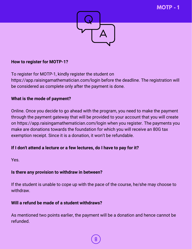

#### **How to register for MOTP-1?**

To register for MOTP-1, kindly register the student on https://app.raisingamathematician.com/login before the deadline. The registration will be considered as complete only after the payment is done.

# **What is the mode of payment?**

Online. Once you decide to go ahead with the program, you need to make the payment through the payment gateway that will be provided to your account that you will create on https://app.raisingamathematician.com/login when you register. The payments you make are donations towards the foundation for which you will receive an 80G tax exemption receipt. Since it is a donation, it won't be refundable.

#### **If I don't attend a lecture or a few lectures, do I have to pay for it?**

Yes.

#### **Is there any provision to withdraw in between?**

If the student is unable to cope up with the pace of the course, he/she may choose to withdraw.

#### **Will a refund be made of a student withdraws?**

As mentioned two points earlier, the payment will be a donation and hence cannot be refunded.